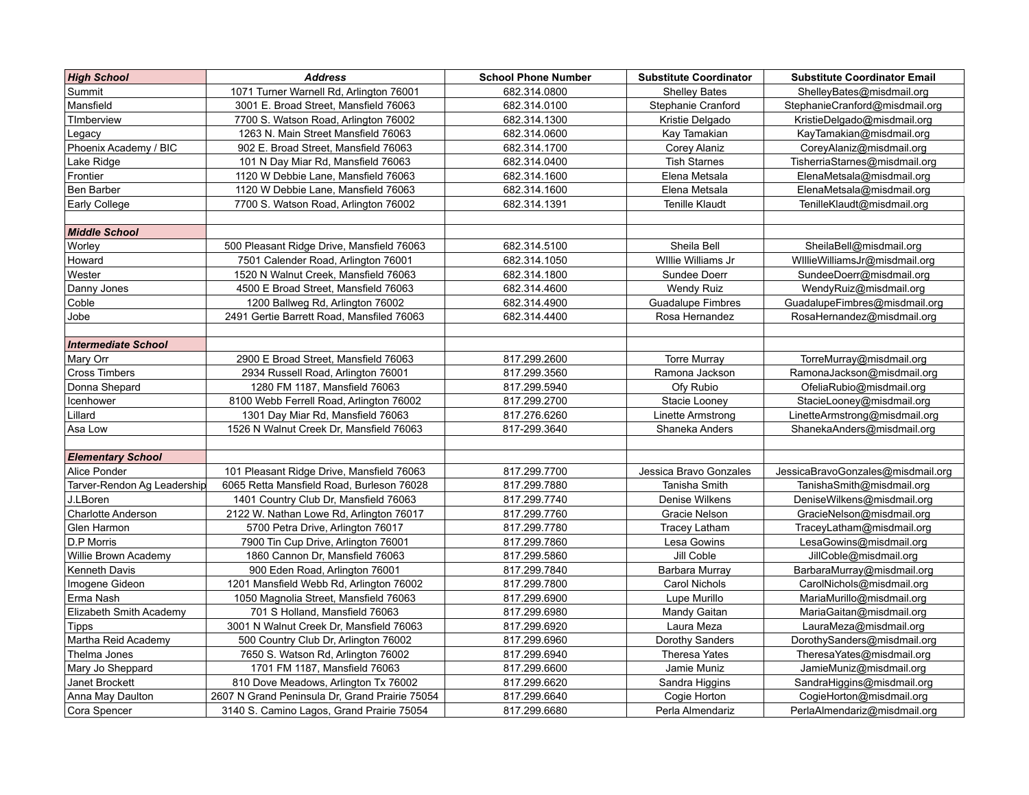| <b>High School</b>          | <b>Address</b>                                 | <b>School Phone Number</b> | <b>Substitute Coordinator</b> | <b>Substitute Coordinator Email</b> |
|-----------------------------|------------------------------------------------|----------------------------|-------------------------------|-------------------------------------|
| Summit                      | 1071 Turner Warnell Rd, Arlington 76001        | 682.314.0800               | <b>Shelley Bates</b>          | ShelleyBates@misdmail.org           |
| Mansfield                   | 3001 E. Broad Street, Mansfield 76063          | 682.314.0100               | Stephanie Cranford            | StephanieCranford@misdmail.org      |
| TImberview                  | 7700 S. Watson Road, Arlington 76002           | 682.314.1300               | Kristie Delgado               | KristieDelgado@misdmail.org         |
| Legacy                      | 1263 N. Main Street Mansfield 76063            | 682.314.0600               | Kay Tamakian                  | KayTamakian@misdmail.org            |
| Phoenix Academy / BIC       | 902 E. Broad Street, Mansfield 76063           | 682.314.1700               | <b>Corey Alaniz</b>           | CoreyAlaniz@misdmail.org            |
| Lake Ridge                  | 101 N Day Miar Rd, Mansfield 76063             | 682.314.0400               | <b>Tish Starnes</b>           | TisherriaStarnes@misdmail.org       |
| Frontier                    | 1120 W Debbie Lane, Mansfield 76063            | 682.314.1600               | Elena Metsala                 | ElenaMetsala@misdmail.org           |
| Ben Barber                  | 1120 W Debbie Lane, Mansfield 76063            | 682.314.1600               | Elena Metsala                 | ElenaMetsala@misdmail.org           |
| Early College               | 7700 S. Watson Road, Arlington 76002           | 682.314.1391               | <b>Tenille Klaudt</b>         | TenilleKlaudt@misdmail.org          |
|                             |                                                |                            |                               |                                     |
| <b>Middle School</b>        |                                                |                            |                               |                                     |
| Worley                      | 500 Pleasant Ridge Drive, Mansfield 76063      | 682.314.5100               | Sheila Bell                   | SheilaBell@misdmail.org             |
| Howard                      | 7501 Calender Road, Arlington 76001            | 682.314.1050               | Willie Williams Jr            | WillieWilliamsJr@misdmail.org       |
| Wester                      | 1520 N Walnut Creek, Mansfield 76063           | 682.314.1800               | Sundee Doerr                  | SundeeDoerr@misdmail.org            |
| Danny Jones                 | 4500 E Broad Street, Mansfield 76063           | 682.314.4600               | <b>Wendy Ruiz</b>             | WendyRuiz@misdmail.org              |
| Coble                       | 1200 Ballweg Rd, Arlington 76002               | 682.314.4900               | <b>Guadalupe Fimbres</b>      | GuadalupeFimbres@misdmail.org       |
| Jobe                        | 2491 Gertie Barrett Road, Mansfiled 76063      | 682.314.4400               | Rosa Hernandez                | RosaHernandez@misdmail.org          |
|                             |                                                |                            |                               |                                     |
| <b>Intermediate School</b>  |                                                |                            |                               |                                     |
| Mary Orr                    | 2900 E Broad Street, Mansfield 76063           | 817.299.2600               | <b>Torre Murray</b>           | TorreMurray@misdmail.org            |
| <b>Cross Timbers</b>        | 2934 Russell Road, Arlington 76001             | 817.299.3560               | Ramona Jackson                | RamonaJackson@misdmail.org          |
| Donna Shepard               | 1280 FM 1187, Mansfield 76063                  | 817.299.5940               | Ofy Rubio                     | OfeliaRubio@misdmail.org            |
| Icenhower                   | 8100 Webb Ferrell Road, Arlington 76002        | 817.299.2700               | Stacie Looney                 | StacieLooney@misdmail.org           |
| Lillard                     | 1301 Day Miar Rd, Mansfield 76063              | 817.276.6260               | Linette Armstrong             | LinetteArmstrong@misdmail.org       |
| Asa Low                     | 1526 N Walnut Creek Dr, Mansfield 76063        | 817-299.3640               | Shaneka Anders                | ShanekaAnders@misdmail.org          |
|                             |                                                |                            |                               |                                     |
| <b>Elementary School</b>    |                                                |                            |                               |                                     |
| Alice Ponder                | 101 Pleasant Ridge Drive, Mansfield 76063      | 817.299.7700               | Jessica Bravo Gonzales        | JessicaBravoGonzales@misdmail.org   |
| Tarver-Rendon Ag Leadership | 6065 Retta Mansfield Road, Burleson 76028      | 817.299.7880               | Tanisha Smith                 | TanishaSmith@misdmail.org           |
| J.LBoren                    | 1401 Country Club Dr, Mansfield 76063          | 817.299.7740               | Denise Wilkens                | DeniseWilkens@misdmail.org          |
| <b>Charlotte Anderson</b>   | 2122 W. Nathan Lowe Rd, Arlington 76017        | 817.299.7760               | Gracie Nelson                 | GracieNelson@misdmail.org           |
| Glen Harmon                 | 5700 Petra Drive, Arlington 76017              | 817.299.7780               | <b>Tracey Latham</b>          | TraceyLatham@misdmail.org           |
| D.P Morris                  | 7900 Tin Cup Drive, Arlington 76001            | 817.299.7860               | Lesa Gowins                   | LesaGowins@misdmail.org             |
| Willie Brown Academy        | 1860 Cannon Dr, Mansfield 76063                | 817.299.5860               | Jill Coble                    | JillCoble@misdmail.org              |
| Kenneth Davis               | 900 Eden Road, Arlington 76001                 | 817.299.7840               | Barbara Murray                | BarbaraMurray@misdmail.org          |
| Imogene Gideon              | 1201 Mansfield Webb Rd, Arlington 76002        | 817.299.7800               | Carol Nichols                 | CarolNichols@misdmail.org           |
| Erma Nash                   | 1050 Magnolia Street, Mansfield 76063          | 817.299.6900               | Lupe Murillo                  | MariaMurillo@misdmail.org           |
| Elizabeth Smith Academy     | 701 S Holland, Mansfield 76063                 | 817.299.6980               | Mandy Gaitan                  | MariaGaitan@misdmail.org            |
| <b>Tipps</b>                | 3001 N Walnut Creek Dr, Mansfield 76063        | 817.299.6920               | Laura Meza                    | LauraMeza@misdmail.org              |
| Martha Reid Academy         | 500 Country Club Dr, Arlington 76002           | 817.299.6960               | Dorothy Sanders               | DorothySanders@misdmail.org         |
| Thelma Jones                | 7650 S. Watson Rd, Arlington 76002             | 817.299.6940               | <b>Theresa Yates</b>          | TheresaYates@misdmail.org           |
| Mary Jo Sheppard            | 1701 FM 1187, Mansfield 76063                  | 817.299.6600               | Jamie Muniz                   | JamieMuniz@misdmail.org             |
| Janet Brockett              | 810 Dove Meadows, Arlington Tx 76002           | 817.299.6620               | Sandra Higgins                | SandraHiggins@misdmail.org          |
| Anna May Daulton            | 2607 N Grand Peninsula Dr, Grand Prairie 75054 | 817.299.6640               | Cogie Horton                  | CogieHorton@misdmail.org            |
| Cora Spencer                | 3140 S. Camino Lagos, Grand Prairie 75054      | 817.299.6680               | Perla Almendariz              | PerlaAlmendariz@misdmail.org        |